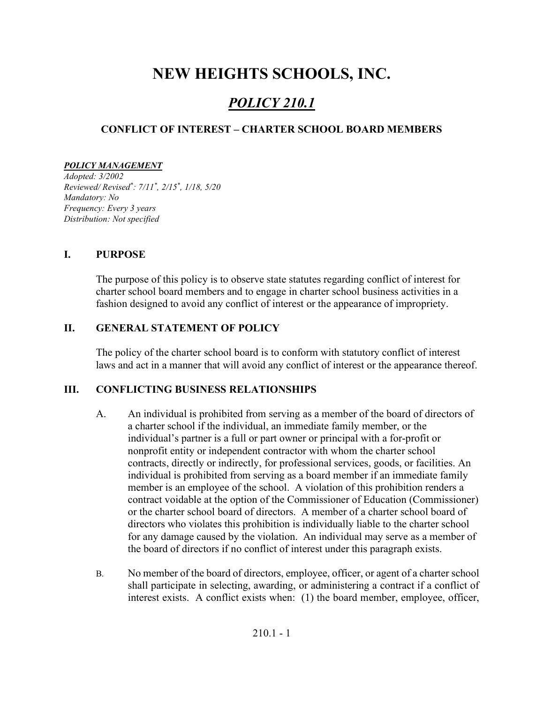# NEW HEIGHTS SCHOOLS, INC.

## POLICY 210.1

## CONFLICT OF INTEREST – CHARTER SCHOOL BOARD MEMBERS

#### POLICY MANAGEMENT

Adopted: 3/2002 Reviewed/ Revised\* : 7/11\* , 2/15\* , 1/18, 5/20 Mandatory: No Frequency: Every 3 years Distribution: Not specified

## I. PURPOSE

The purpose of this policy is to observe state statutes regarding conflict of interest for charter school board members and to engage in charter school business activities in a fashion designed to avoid any conflict of interest or the appearance of impropriety.

## II. GENERAL STATEMENT OF POLICY

The policy of the charter school board is to conform with statutory conflict of interest laws and act in a manner that will avoid any conflict of interest or the appearance thereof.

### III. CONFLICTING BUSINESS RELATIONSHIPS

- A. An individual is prohibited from serving as a member of the board of directors of a charter school if the individual, an immediate family member, or the individual's partner is a full or part owner or principal with a for-profit or nonprofit entity or independent contractor with whom the charter school contracts, directly or indirectly, for professional services, goods, or facilities. An individual is prohibited from serving as a board member if an immediate family member is an employee of the school. A violation of this prohibition renders a contract voidable at the option of the Commissioner of Education (Commissioner) or the charter school board of directors. A member of a charter school board of directors who violates this prohibition is individually liable to the charter school for any damage caused by the violation. An individual may serve as a member of the board of directors if no conflict of interest under this paragraph exists.
- B. No member of the board of directors, employee, officer, or agent of a charter school shall participate in selecting, awarding, or administering a contract if a conflict of interest exists. A conflict exists when: (1) the board member, employee, officer,